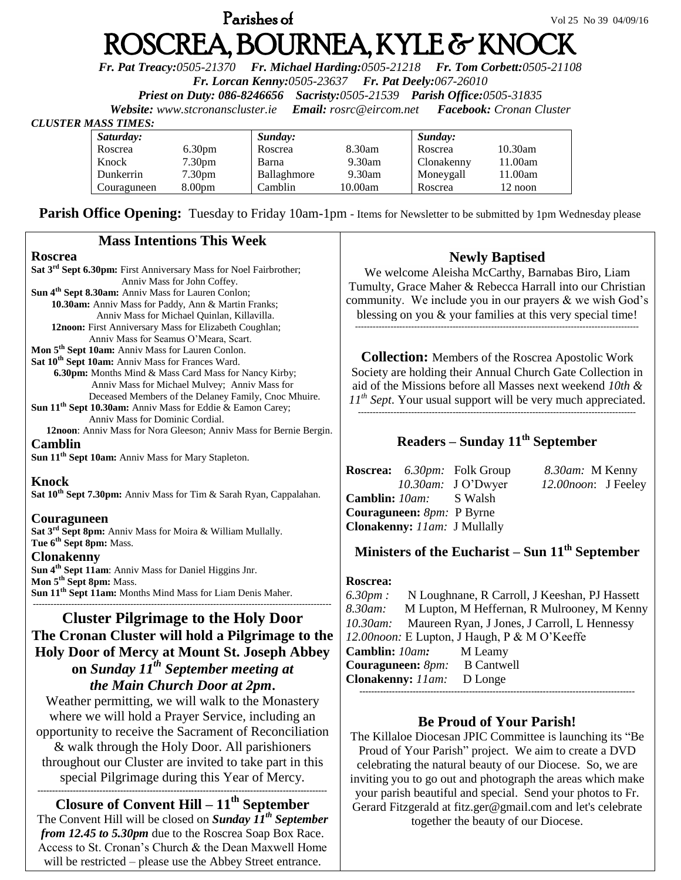## **Parishes of**  $Vol\ 25\ N_0\ 39\ 04/09/16$ ROSCREA, BOURNEA, KYLE & KNOCK

*Fr. Pat Treacy:0505-21370 Fr. Michael Harding:0505-21218 Fr. Tom Corbett:0505-21108* 

*Fr. Lorcan Kenny:0505-23637 Fr. Pat Deely:067-26010* 

*Priest on Duty: 086-8246656 Sacristy:0505-21539 Parish Office:0505-31835* 

*Website: [www.stcronanscluster.ie](http://www.stcronanscluster.ie/) Email: [rosrc@eircom.net](mailto:rosrc@eircom.net) Facebook: Cronan Cluster* 

### *CLUSTER MASS TIMES:*

| Saturday:   |                    | Sunday:     |           | Sunday:    |            |
|-------------|--------------------|-------------|-----------|------------|------------|
| Roscrea     | 6.30 <sub>pm</sub> | Roscrea     | 8.30am    | Roscrea    | $10.30$ am |
| Knock       | 7.30pm             | Barna       | $9.30$ am | Clonakenny | 11.00am    |
| Dunkerrin   | 7.30pm             | Ballaghmore | 9.30am    | Moneygall  | 11.00am    |
| Couraguneen | 8.00 <sub>pm</sub> | Camblin     | 10.00am   | Roscrea    | 12 noon    |

Parish Office Opening: Tuesday to Friday 10am-1pm - Items for Newsletter to be submitted by 1pm Wednesday please

## **Mass Intentions This Week**

#### **Roscrea**

**Sat 3rd Sept 6.30pm:** First Anniversary Mass for Noel Fairbrother; Anniv Mass for John Coffey. **Sun 4th Sept 8.30am:** Anniv Mass for Lauren Conlon;  **10.30am:** Anniv Mass for Paddy, Ann & Martin Franks; Anniv Mass for Michael Quinlan, Killavilla.  **12noon:** First Anniversary Mass for Elizabeth Coughlan; Anniv Mass for Seamus O'Meara, Scart. **Mon 5th Sept 10am:** Anniv Mass for Lauren Conlon. **Sat 10th Sept 10am:** Anniv Mass for Frances Ward.  **6.30pm:** Months Mind & Mass Card Mass for Nancy Kirby; Anniv Mass for Michael Mulvey; Anniv Mass for Deceased Members of the Delaney Family, Cnoc Mhuire. **Sun 11th Sept 10.30am:** Anniv Mass for Eddie & Eamon Carey; Anniv Mass for Dominic Cordial.  **12noon**: Anniv Mass for Nora Gleeson; Anniv Mass for Bernie Bergin. **Camblin**

**Sun 11th Sept 10am:** Anniv Mass for Mary Stapleton.

#### **Knock**

**Sat 10th Sept 7.30pm:** Anniv Mass for Tim & Sarah Ryan, Cappalahan.

#### **Couraguneen**

**Sat 3rd Sept 8pm:** Anniv Mass for Moira & William Mullally. **Tue 6th Sept 8pm:** Mass.

### **Clonakenny**

**Sun 4th Sept 11am**: Anniv Mass for Daniel Higgins Jnr. **Mon 5th Sept 8pm:** Mass. **Sun 11th Sept 11am:** Months Mind Mass for Liam Denis Maher.

## **Cluster Pilgrimage to the Holy Door The Cronan Cluster will hold a Pilgrimage to the Holy Door of Mercy at Mount St. Joseph Abbey on** *Sunday 11th September meeting at the Main Church Door at 2pm***.**

-----------------------------------------------------------------------------------------------------

Weather permitting, we will walk to the Monastery where we will hold a Prayer Service, including an opportunity to receive the Sacrament of Reconciliation & walk through the Holy Door. All parishioners throughout our Cluster are invited to take part in this special Pilgrimage during this Year of Mercy.

**-------------------------------------------------------------------------------------------------- Closure of Convent Hill – 11th September** The Convent Hill will be closed on *Sunday 11th September from 12.45 to 5.30pm* due to the Roscrea Soap Box Race. Access to St. Cronan's Church & the Dean Maxwell Home will be restricted – please use the Abbey Street entrance.

## **Newly Baptised**

We welcome Aleisha McCarthy, Barnabas Biro, Liam Tumulty, Grace Maher & Rebecca Harrall into our Christian community. We include you in our prayers & we wish God's blessing on you & your families at this very special time! ------------------------------------------------------------------------------------------------

**Collection:** Members of the Roscrea Apostolic Work Society are holding their Annual Church Gate Collection in aid of the Missions before all Masses next weekend *10th & 11th Sept*. Your usual support will be very much appreciated. ----------------------------------------------------------------------------------------------

## **Readers – Sunday 11th September**

|                                       | <b>Roscrea:</b> 6.30pm: Folk Group          | 8.30am: M Kenny     |
|---------------------------------------|---------------------------------------------|---------------------|
|                                       | 10.30am: J O'Dwyer                          | 12.00noon: J Feeley |
| <b>Camblin:</b> <i>10am</i> : S Walsh |                                             |                     |
| <b>Couraguneen:</b> 8pm: P Byrne      |                                             |                     |
|                                       | <b>Clonakenny:</b> <i>11am</i> : J Mullally |                     |

## **Ministers of the Eucharist – Sun 11th September**

#### **Roscrea:**

| 6.30pm:               | N Loughnane, R Carroll, J Keeshan, PJ Hassett |
|-----------------------|-----------------------------------------------|
| 8.30am:               | M Lupton, M Heffernan, R Mulrooney, M Kenny   |
| 10.30am:              | Maureen Ryan, J Jones, J Carroll, L Hennessy  |
|                       | 12.00noon: E Lupton, J Haugh, P & M O'Keeffe  |
| <b>Camblin:</b> 10am: | M Leamy                                       |
|                       | <b>Couraguneen:</b> 8pm: B Cantwell           |
| Clonakenny: 11am:     | D Longe                                       |
|                       |                                               |

## **Be Proud of Your Parish!**

The Killaloe Diocesan JPIC Committee is launching its "Be Proud of Your Parish" project. We aim to create a DVD celebrating the natural beauty of our Diocese. So, we are inviting you to go out and photograph the areas which make your parish beautiful and special. Send your photos to Fr. Gerard Fitzgerald at [fitz.ger@gmail.com](mailto:fitz.ger@gmail.com) and let's celebrate together the beauty of our Diocese.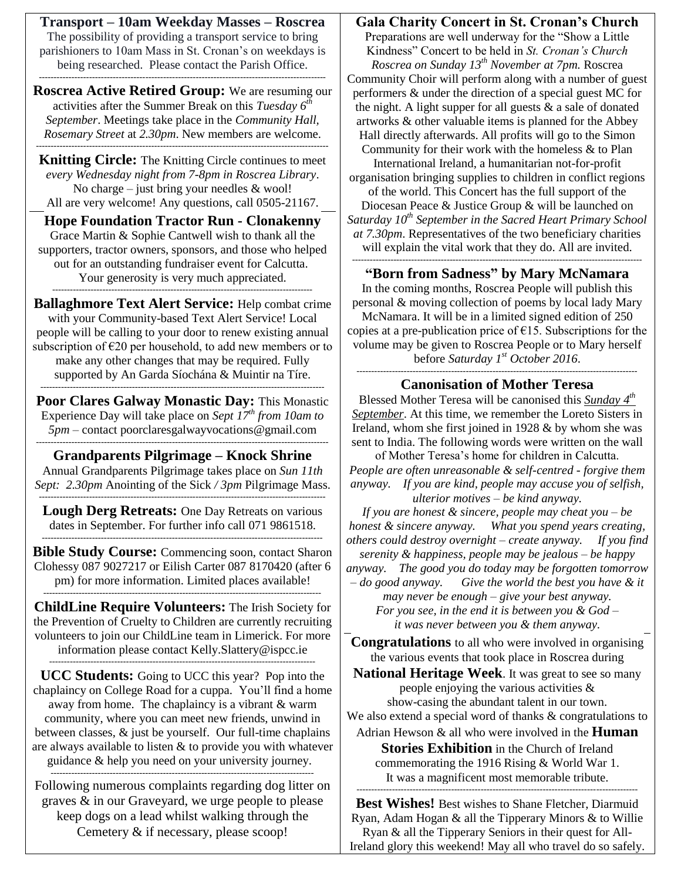**Transport – 10am Weekday Masses – Roscrea** The possibility of providing a transport service to bring parishioners to 10am Mass in St. Cronan's on weekdays is being researched. Please contact the Parish Office. -------------------------------------------------------------------------------------------------

**Roscrea Active Retired Group:** We are resuming our activities after the Summer Break on this *Tuesday 6th September*. Meetings take place in the *Community Hall, Rosemary Street* at *2.30pm*. New members are welcome.

---------------------------------------------------------------------------------------------------

**Knitting Circle:** The Knitting Circle continues to meet *every Wednesday night from 7-8pm in Roscrea Library*. No charge – just bring your needles  $&$  wool! All are very welcome! Any questions, call 0505-21167.

**Hope Foundation Tractor Run - Clonakenny** Grace Martin & Sophie Cantwell wish to thank all the supporters, tractor owners, sponsors, and those who helped out for an outstanding fundraiser event for Calcutta. Your generosity is very much appreciated.

----------------------------------------------------------------------------------------

**Ballaghmore Text Alert Service:** Help combat crime with your Community-based Text Alert Service! Local people will be calling to your door to renew existing annual subscription of  $\epsilon$ 20 per household, to add new members or to make any other changes that may be required. Fully supported by An Garda Síochána & Muintir na Tíre. ------------------------------------------------------------------------------------------------

**Poor Clares Galway Monastic Day:** This Monastic Experience Day will take place on *Sept 17th from 10am to 5pm* – contact [poorclaresgalwayvocations@gmail.com](mailto:poorclaresgalwayvocations@gmail.com) ---------------------------------------------------------------------------------------------------

**Grandparents Pilgrimage – Knock Shrine** Annual Grandparents Pilgrimage takes place on *Sun 11th Sept: 2.30pm* Anointing of the Sick */ 3pm* Pilgrimage Mass.

------------------------------------------------------------------------------------------------- Lough Derg Retreats: One Day Retreats on various dates in September. For further info call 071 9861518. -----------------------------------------------------------------------------------------------

**Bible Study Course:** Commencing soon, contact Sharon Clohessy 087 9027217 or Eilish Carter 087 8170420 (after 6 pm) for more information. Limited places available! ----------------------------------------------------------------------------------------------

**ChildLine Require Volunteers:** The Irish Society for the Prevention of Cruelty to Children are currently recruiting volunteers to join our ChildLine team in Limerick. For more information please contact [Kelly.Slattery@ispcc.ie](mailto:Kelly.Slattery@ispcc.ie)

------------------------------------------------------------------------------------------

**UCC Students:** Going to UCC this year? Pop into the chaplaincy on College Road for a cuppa. You'll find a home away from home. The chaplaincy is a vibrant & warm community, where you can meet new friends, unwind in between classes, & just be yourself. Our full-time chaplains are always available to listen & to provide you with whatever guidance & help you need on your university journey. -----------------------------------------------------------------------------------------

Following numerous complaints regarding dog litter on graves & in our Graveyard, we urge people to please keep dogs on a lead whilst walking through the Cemetery & if necessary, please scoop!

**Gala Charity Concert in St. Cronan's Church** Preparations are well underway for the "Show a Little Kindness" Concert to be held in *St. Cronan's Church Roscrea on Sunday 13th November at 7pm.* Roscrea

Community Choir will perform along with a number of guest performers & under the direction of a special guest MC for the night. A light supper for all guests  $\&$  a sale of donated artworks & other valuable items is planned for the Abbey Hall directly afterwards. All profits will go to the Simon Community for their work with the homeless & to Plan International Ireland, a humanitarian not-for-profit organisation bringing supplies to children in conflict regions of the world. This Concert has the full support of the Diocesan Peace & Justice Group & will be launched on *Saturday 10th September in the Sacred Heart Primary School at 7.30pm*. Representatives of the two beneficiary charities will explain the vital work that they do. All are invited. --------------------------------------------------------------------------------------------------

**"Born from Sadness" by Mary McNamara**

In the coming months, Roscrea People will publish this personal & moving collection of poems by local lady Mary McNamara. It will be in a limited signed edition of 250 copies at a pre-publication price of  $\epsilon$ 15. Subscriptions for the volume may be given to Roscrea People or to Mary herself before *Saturday 1st October 2016*.

----------------------------------------------------------------------------------------------- **Canonisation of Mother Teresa**

Blessed Mother Teresa will be canonised this *Sunday 4th September*. At this time, we remember the Loreto Sisters in Ireland, whom she first joined in 1928 & by whom she was sent to India. The following words were written on the wall

of Mother Teresa's home for children in Calcutta. *People are often unreasonable & self-centred - forgive them anyway. If you are kind, people may accuse you of selfish, ulterior motives – be kind anyway.*

*If you are honest & sincere, people may cheat you – be honest & sincere anyway. What you spend years creating, others could destroy overnight – create anyway. If you find serenity & happiness, people may be jealous – be happy anyway. The good you do today may be forgotten tomorrow – do good anyway. Give the world the best you have & it may never be enough – give your best anyway. For you see, in the end it is between you & God – it was never between you & them anyway.*

**Congratulations** to all who were involved in organising the various events that took place in Roscrea during

**National Heritage Week**. It was great to see so many people enjoying the various activities & show-casing the abundant talent in our town.

We also extend a special word of thanks & congratulations to

Adrian Hewson & all who were involved in the **Human Stories Exhibition** in the Church of Ireland commemorating the 1916 Rising & World War 1. It was a magnificent most memorable tribute. -----------------------------------------------------------------------------------------------

**Best Wishes!** Best wishes to Shane Fletcher, Diarmuid Ryan, Adam Hogan & all the Tipperary Minors & to Willie Ryan & all the Tipperary Seniors in their quest for All-Ireland glory this weekend! May all who travel do so safely.